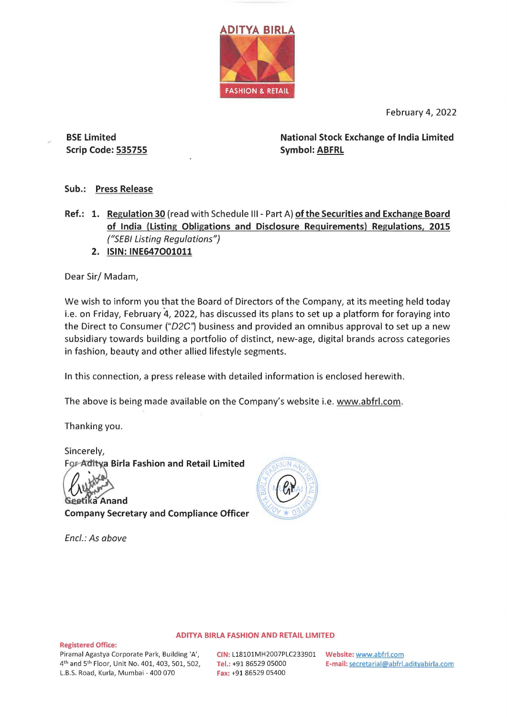

February 4, 2022

**BSE Limited Scrip Code: 535755**  **National Stock Exchange of India Limited Symbol: ABFRL** 

## **Sub.: Press Release**

- **Ref.: 1. Regulation 30** (read with Schedule Ill Part A) **of the Securities and Exchange Board of India (Listing Obligations and Disclosure Requirements) Regulations, 2015**  ("SEBI Listing Regulations")
	- **2. ISIN: INE647O01011**

Dear Sir/ Madam,

We wish to inform you that the Board of Directors of the Company, at its meeting held today i.e. on Friday, February 4, 2022, has discussed its plans to set up a platform for foraying into the Direct to Consumer ("D2C") business and provided an omnibus approval to set up a new subsidiary towards building a portfolio of distinct, new-age, digital brands across categories in fashion, beauty and other allied lifestyle segments.

In this connection, a press release with detailed information is enclosed herewith.

The above is being made available on the Company's website i.e. www.abfrl.com.

Thanking you.

Sincerely, **For-Aditya Birla Fashion and Retail Limited** 

Geetika Anand

**Company Secretary and Compliance Officer** 

Encl.: As above



## **ADITYA BIRLA FASHION AND RETAIL LIMITED**

**Registered Office:**  Piramal Agastya Corporate Park, Building 'A', 4th and 5th Floor, Unit No. 401, 403, 501, 502, L.B.S. Road, Kurla, Mumbai - 400 070

**CIN:** L18101MH2007PLC233901 **Website:** www.abfrl.com **Fax:** +91 86529 05400

**Tel.:** +91 86529 05000 **E-mail:** secretarial@abfrl.adityabirla.com